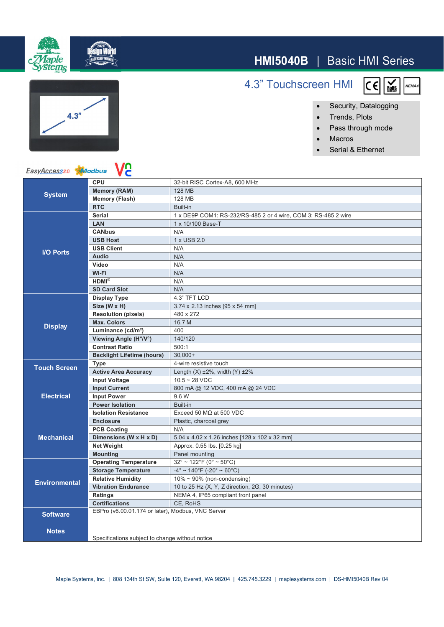## **HMI5040B** | Basic HMI Series



 $\overline{c}$ 

 $\overline{\mathbf{R}_{\text{OHS}}^{\text{S}}}$ 

**IEMA4** 

- ∂ Trends, Plots
- ∂ Pass through mode
- ∂ Macros
- ∂ Serial & Ethernet

<u>n</u> EasyAccess20 Modbus **CPU** 32-bit RISC Cortex-A8, 600 MHz **Memory (RAM)** 128 MB **System Memory (Flash)** 128 MB **RTC** Built-in **LAN** 1 x 10/100 Base-T **CANbus** N/A **USB Host**  $\begin{array}{|c|c|c|c|} \hline 1 x \text{ USB 2.0} \end{array}$ USB Client N/A

|                      | <b>RTC</b>                                        | <b>Built-in</b>                                                |
|----------------------|---------------------------------------------------|----------------------------------------------------------------|
| <b>I/O Ports</b>     | <b>Serial</b>                                     | 1 x DE9P COM1: RS-232/RS-485 2 or 4 wire, COM 3: RS-485 2 wire |
|                      | LAN                                               | 1 x 10/100 Base-T                                              |
|                      | <b>CANbus</b>                                     | N/A                                                            |
|                      | <b>USB Host</b>                                   | 1 x USB 2.0                                                    |
|                      | <b>USB Client</b>                                 | N/A                                                            |
|                      | <b>Audio</b>                                      | N/A                                                            |
|                      | Video                                             | N/A                                                            |
|                      | Wi-Fi                                             | N/A                                                            |
|                      | $HDMI^{\otimes}$                                  | N/A                                                            |
|                      | <b>SD Card Slot</b>                               | N/A                                                            |
| <b>Display</b>       | <b>Display Type</b>                               | 4.3" TFT LCD                                                   |
|                      | Size (W x H)                                      | 3.74 x 2.13 inches [95 x 54 mm]                                |
|                      | <b>Resolution (pixels)</b>                        | 480 x 272                                                      |
|                      | <b>Max. Colors</b>                                | 16.7 M                                                         |
|                      | Luminance (cd/m <sup>2</sup> )                    | 400                                                            |
|                      | Viewing Angle (H°/V°)                             | 140/120                                                        |
|                      | <b>Contrast Ratio</b>                             | 500:1                                                          |
|                      | <b>Backlight Lifetime (hours)</b>                 | $30.000+$                                                      |
| <b>Touch Screen</b>  | <b>Type</b>                                       | 4-wire resistive touch                                         |
|                      | <b>Active Area Accuracy</b>                       | Length $(X)$ ±2%, width $(Y)$ ±2%                              |
| <b>Electrical</b>    | <b>Input Voltage</b>                              | $10.5 - 28$ VDC                                                |
|                      | <b>Input Current</b>                              | 800 mA @ 12 VDC, 400 mA @ 24 VDC                               |
|                      | <b>Input Power</b>                                | 9.6 W                                                          |
|                      | <b>Power Isolation</b>                            | <b>Built-in</b>                                                |
|                      | <b>Isolation Resistance</b>                       | Exceed 50 $M\Omega$ at 500 VDC                                 |
| <b>Mechanical</b>    | <b>Enclosure</b>                                  | Plastic, charcoal grey                                         |
|                      | <b>PCB Coating</b>                                | N/A                                                            |
|                      | Dimensions (W x H x D)                            | 5.04 x 4.02 x 1.26 inches [128 x 102 x 32 mm]                  |
|                      | <b>Net Weight</b>                                 | Approx. 0.55 lbs. [0.25 kg]                                    |
|                      | <b>Mounting</b>                                   | Panel mounting                                                 |
| <b>Environmental</b> | <b>Operating Temperature</b>                      | $32^{\circ} \sim 122^{\circ}$ F (0° ~ 50°C)                    |
|                      | <b>Storage Temperature</b>                        | $-4^{\circ}$ ~ 140°F (-20° ~ 60°C)                             |
|                      | <b>Relative Humidity</b>                          | $10\% \sim 90\%$ (non-condensing)                              |
|                      | <b>Vibration Endurance</b>                        | 10 to 25 Hz (X, Y, Z direction, 2G, 30 minutes)                |
|                      | Ratings                                           | NEMA 4, IP65 compliant front panel                             |
|                      | <b>Certifications</b>                             | CE, RoHS                                                       |
| <b>Software</b>      | EBPro (v6.00.01.174 or later), Modbus, VNC Server |                                                                |
| <b>Notes</b>         | Specifications subject to change without notice   |                                                                |
|                      |                                                   |                                                                |





## 4.3" Touchscreen HMI